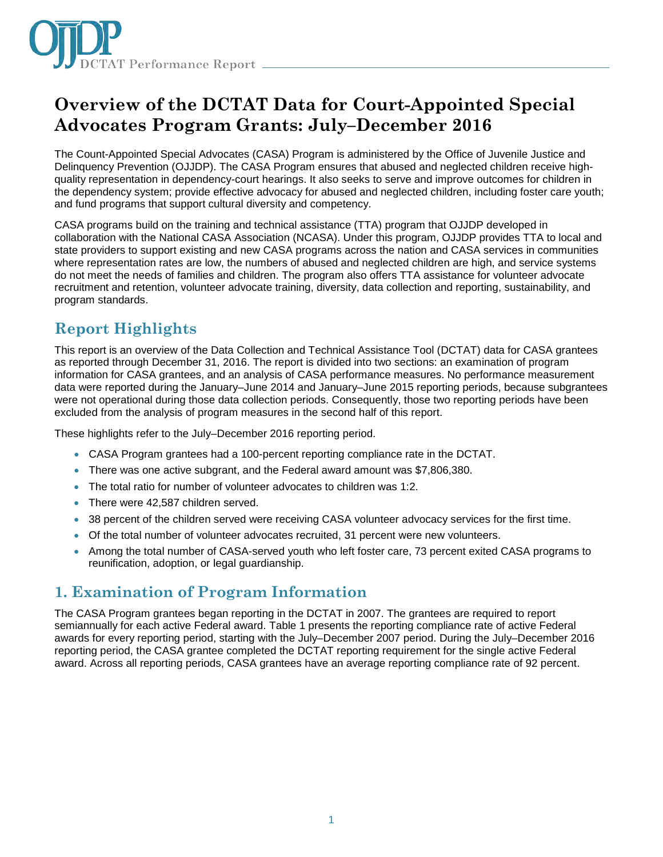

# **Overview of the DCTAT Data for Court-Appointed Special Advocates Program Grants: July–December 2016**

The Count-Appointed Special Advocates (CASA) Program is administered by the Office of Juvenile Justice and Delinquency Prevention (OJJDP). The CASA Program ensures that abused and neglected children receive highquality representation in dependency-court hearings. It also seeks to serve and improve outcomes for children in the dependency system; provide effective advocacy for abused and neglected children, including foster care youth; and fund programs that support cultural diversity and competency.

CASA programs build on the training and technical assistance (TTA) program that OJJDP developed in collaboration with the National CASA Association (NCASA). Under this program, OJJDP provides TTA to local and state providers to support existing and new CASA programs across the nation and CASA services in communities where representation rates are low, the numbers of abused and neglected children are high, and service systems do not meet the needs of families and children. The program also offers TTA assistance for volunteer advocate recruitment and retention, volunteer advocate training, diversity, data collection and reporting, sustainability, and program standards.

# **Report Highlights**

This report is an overview of the Data Collection and Technical Assistance Tool (DCTAT) data for CASA grantees as reported through December 31, 2016. The report is divided into two sections: an examination of program information for CASA grantees, and an analysis of CASA performance measures. No performance measurement data were reported during the January–June 2014 and January–June 2015 reporting periods, because subgrantees were not operational during those data collection periods. Consequently, those two reporting periods have been excluded from the analysis of program measures in the second half of this report.

These highlights refer to the July–December 2016 reporting period.

- CASA Program grantees had a 100-percent reporting compliance rate in the DCTAT.
- There was one active subgrant, and the Federal award amount was \$7,806,380.
- The total ratio for number of volunteer advocates to children was 1:2.
- There were 42,587 children served.
- 38 percent of the children served were receiving CASA volunteer advocacy services for the first time.
- Of the total number of volunteer advocates recruited, 31 percent were new volunteers.
- Among the total number of CASA-served youth who left foster care, 73 percent exited CASA programs to reunification, adoption, or legal guardianship.

# **1. Examination of Program Information**

The CASA Program grantees began reporting in the DCTAT in 2007. The grantees are required to report semiannually for each active Federal award. Table 1 presents the reporting compliance rate of active Federal awards for every reporting period, starting with the July–December 2007 period. During the July–December 2016 reporting period, the CASA grantee completed the DCTAT reporting requirement for the single active Federal award. Across all reporting periods, CASA grantees have an average reporting compliance rate of 92 percent.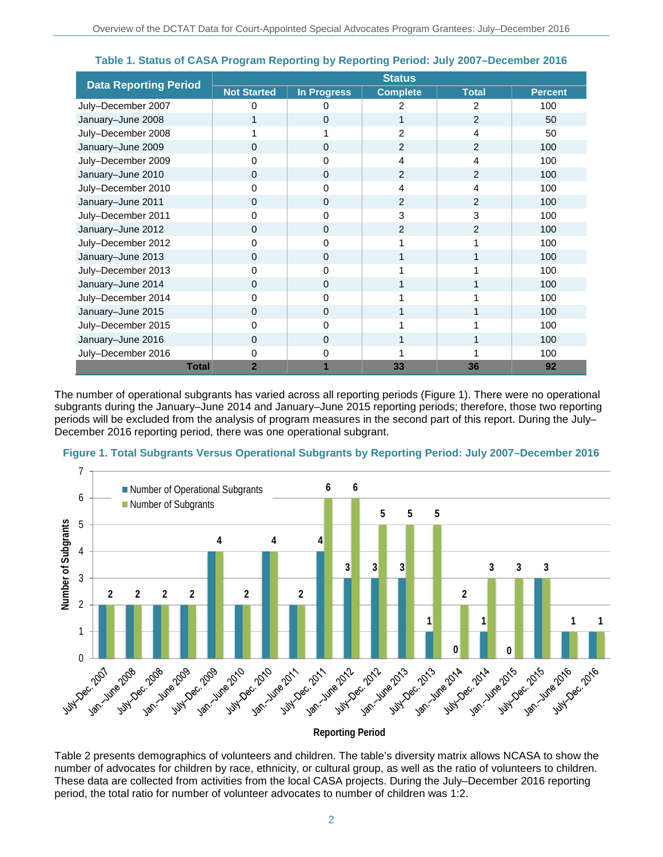|                              | <b>Status</b>      |                    |                 |                |                |
|------------------------------|--------------------|--------------------|-----------------|----------------|----------------|
| <b>Data Reporting Period</b> | <b>Not Started</b> | <b>In Progress</b> | <b>Complete</b> | <b>Total</b>   | <b>Percent</b> |
| July-December 2007           | 0                  | 0                  | 2               | $\overline{2}$ | 100            |
| January-June 2008            | 1                  | $\Omega$           |                 | 2              | 50             |
| July-December 2008           |                    |                    | 2               | 4              | 50             |
| January-June 2009            | 0                  | $\Omega$           | $\overline{2}$  | 2              | 100            |
| July-December 2009           | 0                  | 0                  | 4               | 4              | 100            |
| January-June 2010            | 0                  | 0                  | 2               | 2              | 100            |
| July-December 2010           | 0                  | 0                  | 4               | 4              | 100            |
| January-June 2011            | $\Omega$           | $\Omega$           | $\overline{2}$  | 2              | 100            |
| July-December 2011           | 0                  | 0                  | 3               | 3              | 100            |
| January-June 2012            | $\Omega$           | $\Omega$           | $\overline{2}$  | $\overline{2}$ | 100            |
| July-December 2012           | 0                  | 0                  |                 |                | 100            |
| January-June 2013            | $\Omega$           | 0                  |                 |                | 100            |
| July-December 2013           | 0                  | 0                  |                 |                | 100            |
| January-June 2014            | $\Omega$           | 0                  |                 |                | 100            |
| July-December 2014           | 0                  | 0                  |                 |                | 100            |
| January-June 2015            | $\Omega$           | $\Omega$           |                 |                | 100            |
| July-December 2015           | 0                  | 0                  |                 |                | 100            |
| January-June 2016            | $\Omega$           | $\Omega$           |                 |                | 100            |
| July-December 2016           | 0                  | 0                  |                 |                | 100            |
| <b>Total</b>                 | $\overline{2}$     |                    | 33              | 36             | 92             |

**Table 1. Status of CASA Program Reporting by Reporting Period: July 2007–December 2016** 

The number of operational subgrants has varied across all reporting periods (Figure 1). There were no operational subgrants during the January–June 2014 and January–June 2015 reporting periods; therefore, those two reporting periods will be excluded from the analysis of program measures in the second part of this report. During the July– December 2016 reporting period, there was one operational subgrant.



**Figure 1. Total Subgrants Versus Operational Subgrants by Reporting Period: July 2007–December 2016**

#### **Reporting Period**

Table 2 presents demographics of volunteers and children. The table's diversity matrix allows NCASA to show the number of advocates for children by race, ethnicity, or cultural group, as well as the ratio of volunteers to children. These data are collected from activities from the local CASA projects. During the July–December 2016 reporting period, the total ratio for number of volunteer advocates to number of children was 1:2.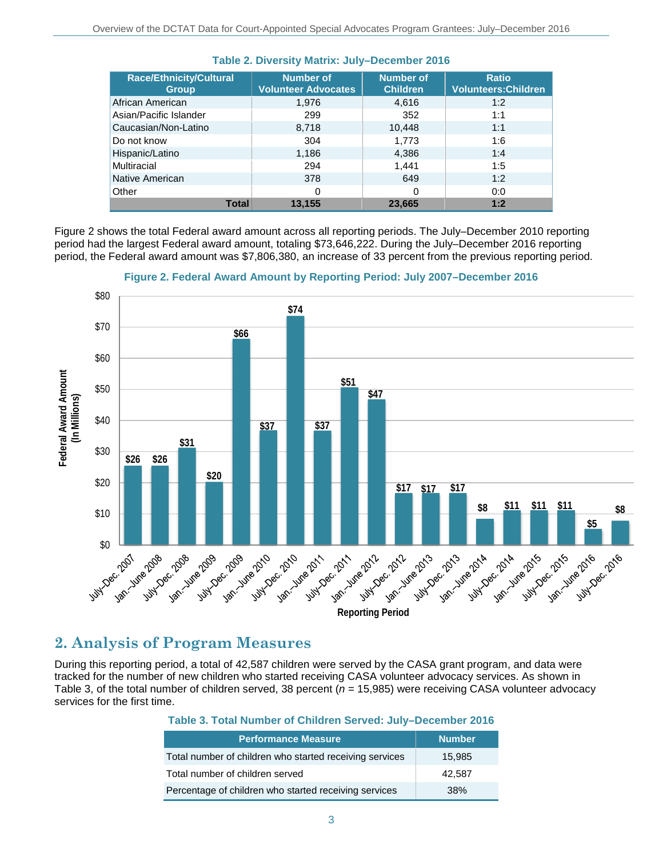| <b>Race/Ethnicity/Cultural</b><br><b>Group</b> | <b>Number of</b><br><b>Volunteer Advocates</b> | <b>Number of</b><br><b>Children</b> | <b>Ratio</b><br><b>Volunteers: Children</b> |
|------------------------------------------------|------------------------------------------------|-------------------------------------|---------------------------------------------|
| African American                               | 1,976                                          | 4,616                               | 1:2                                         |
| Asian/Pacific Islander                         | 299                                            | 352                                 | 1:1                                         |
| Caucasian/Non-Latino                           | 8,718                                          | 10,448                              | 1:1                                         |
| Do not know                                    | 304                                            | 1,773                               | 1:6                                         |
| Hispanic/Latino                                | 1,186                                          | 4,386                               | 1:4                                         |
| Multiracial                                    | 294                                            | 1.441                               | 1:5                                         |
| Native American                                | 378                                            | 649                                 | 1:2                                         |
| Other                                          | 0                                              | 0                                   | 0:0                                         |
| <b>Total</b>                                   | 13,155                                         | 23,665                              | 1:2                                         |

#### **Table 2. Diversity Matrix: July–December 2016**

Figure 2 shows the total Federal award amount across all reporting periods. The July–December 2010 reporting period had the largest Federal award amount, totaling \$73,646,222. During the July–December 2016 reporting period, the Federal award amount was \$7,806,380, an increase of 33 percent from the previous reporting period.



**Figure 2. Federal Award Amount by Reporting Period: July 2007–December 2016**

# **2. Analysis of Program Measures**

During this reporting period, a total of 42,587 children were served by the CASA grant program, and data were tracked for the number of new children who started receiving CASA volunteer advocacy services. As shown in Table 3, of the total number of children served, 38 percent ( $n = 15,985$ ) were receiving CASA volunteer advocacy services for the first time.

#### **Table 3. Total Number of Children Served: July–December 2016**

| <b>Performance Measure</b>                              | <b>Number</b> |
|---------------------------------------------------------|---------------|
| Total number of children who started receiving services | 15,985        |
| Total number of children served                         | 42,587        |
| Percentage of children who started receiving services   | 38%           |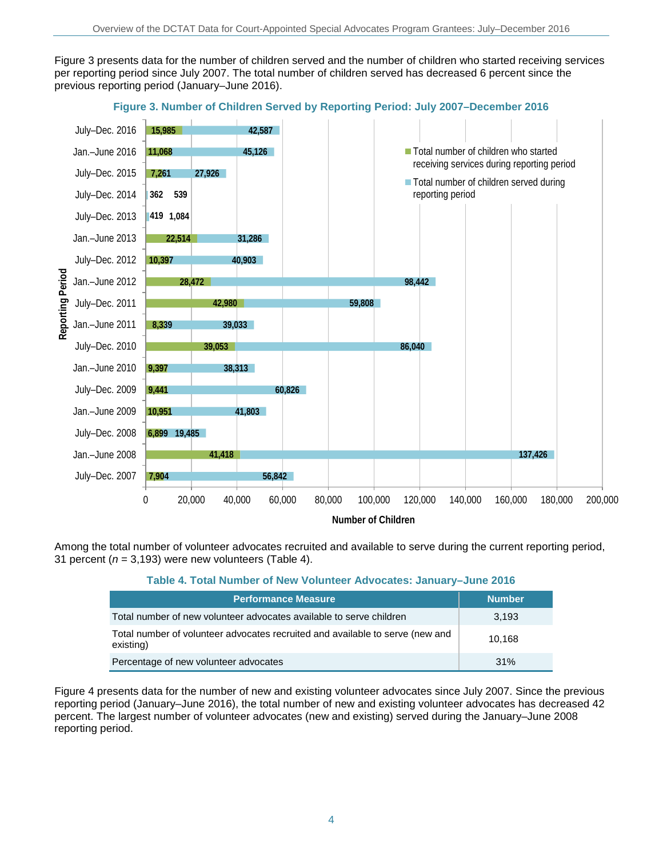Figure 3 presents data for the number of children served and the number of children who started receiving services per reporting period since July 2007. The total number of children served has decreased 6 percent since the previous reporting period (January–June 2016).



## **Figure 3. Number of Children Served by Reporting Period: July 2007–December 2016**

Among the total number of volunteer advocates recruited and available to serve during the current reporting period, 31 percent ( $n = 3,193$ ) were new volunteers (Table 4).

#### **Table 4. Total Number of New Volunteer Advocates: January–June 2016**

| <b>Performance Measure</b>                                                                 | <b>Number</b> |
|--------------------------------------------------------------------------------------------|---------------|
| Total number of new volunteer advocates available to serve children                        | 3.193         |
| Total number of volunteer advocates recruited and available to serve (new and<br>existing) | 10.168        |
| Percentage of new volunteer advocates                                                      | $.31\%$       |

Figure 4 presents data for the number of new and existing volunteer advocates since July 2007. Since the previous reporting period (January–June 2016), the total number of new and existing volunteer advocates has decreased 42 percent. The largest number of volunteer advocates (new and existing) served during the January–June 2008 reporting period.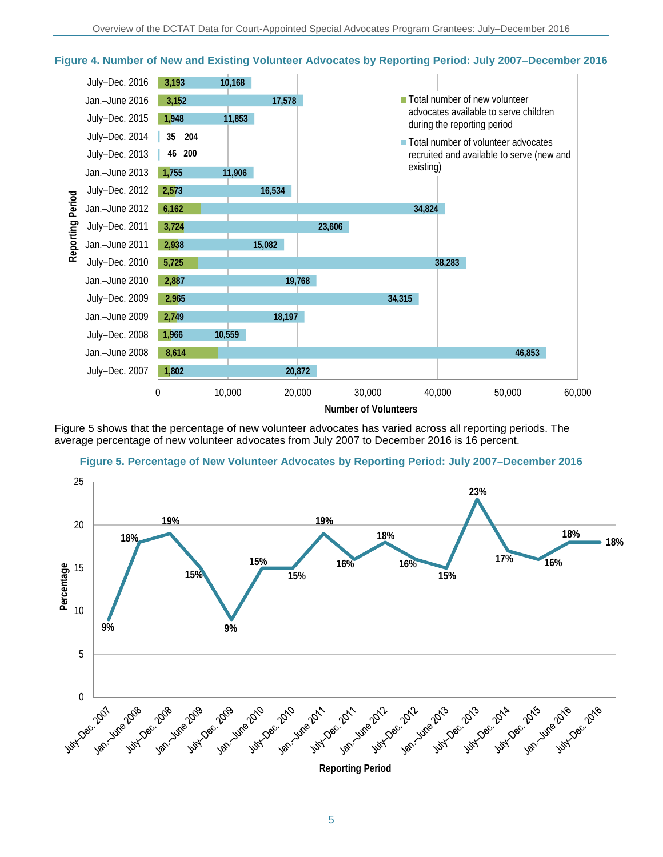

### **Figure 4. Number of New and Existing Volunteer Advocates by Reporting Period: July 2007–December 2016**

Figure 5 shows that the percentage of new volunteer advocates has varied across all reporting periods. The average percentage of new volunteer advocates from July 2007 to December 2016 is 16 percent.

**Figure 5. Percentage of New Volunteer Advocates by Reporting Period: July 2007–December 2016**



5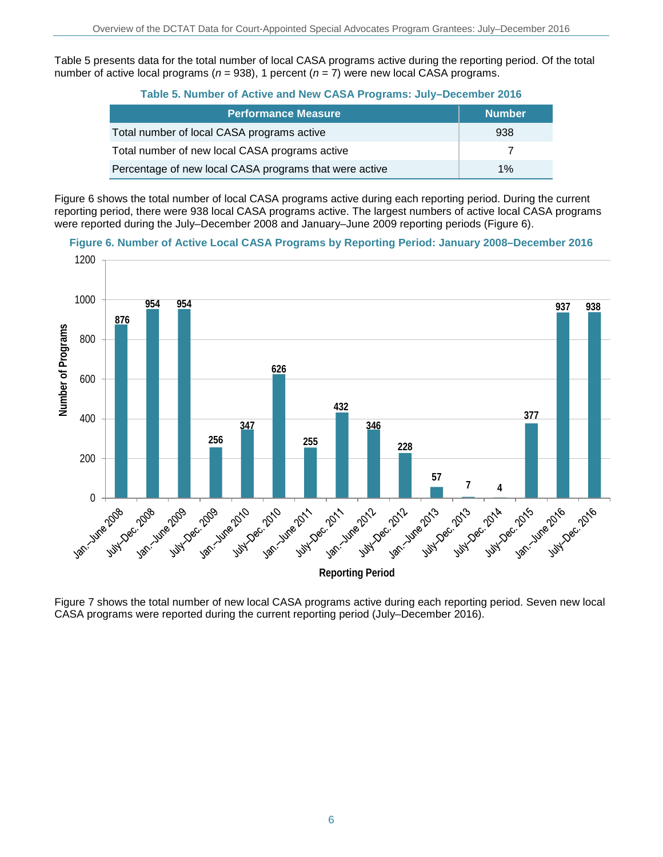Table 5 presents data for the total number of local CASA programs active during the reporting period. Of the total number of active local programs (*n* = 938), 1 percent (*n* = 7) were new local CASA programs.

|  |  |  |  | Table 5. Number of Active and New CASA Programs: July-December 2016 |
|--|--|--|--|---------------------------------------------------------------------|
|--|--|--|--|---------------------------------------------------------------------|

| <b>Performance Measure</b>                             | <b>Number</b> |
|--------------------------------------------------------|---------------|
| Total number of local CASA programs active             | 938           |
| Total number of new local CASA programs active         |               |
| Percentage of new local CASA programs that were active | 1%            |

Figure 6 shows the total number of local CASA programs active during each reporting period. During the current reporting period, there were 938 local CASA programs active. The largest numbers of active local CASA programs were reported during the July–December 2008 and January–June 2009 reporting periods (Figure 6).

**Figure 6. Number of Active Local CASA Programs by Reporting Period: January 2008–December 2016**



Figure 7 shows the total number of new local CASA programs active during each reporting period. Seven new local CASA programs were reported during the current reporting period (July–December 2016).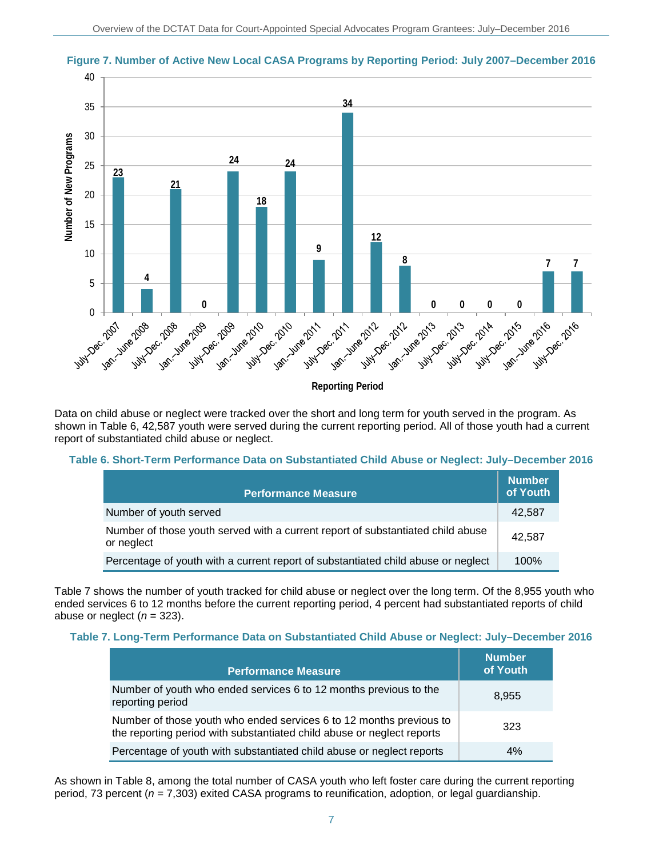

**Figure 7. Number of Active New Local CASA Programs by Reporting Period: July 2007–December 2016**

Data on child abuse or neglect were tracked over the short and long term for youth served in the program. As shown in Table 6, 42,587 youth were served during the current reporting period. All of those youth had a current report of substantiated child abuse or neglect.

### **Table 6. Short-Term Performance Data on Substantiated Child Abuse or Neglect: July–December 2016**

| <b>Performance Measure</b>                                                                    | <b>Number</b><br>of Youth |
|-----------------------------------------------------------------------------------------------|---------------------------|
| Number of youth served                                                                        | 42,587                    |
| Number of those youth served with a current report of substantiated child abuse<br>or neglect | 42.587                    |
| Percentage of youth with a current report of substantiated child abuse or neglect             | 100%                      |

Table 7 shows the number of youth tracked for child abuse or neglect over the long term. Of the 8,955 youth who ended services 6 to 12 months before the current reporting period, 4 percent had substantiated reports of child abuse or neglect  $(n = 323)$ .

### **Table 7. Long-Term Performance Data on Substantiated Child Abuse or Neglect: July–December 2016**

| <b>Performance Measure</b>                                                                                                                    | <b>Number</b><br>of Youth |
|-----------------------------------------------------------------------------------------------------------------------------------------------|---------------------------|
| Number of youth who ended services 6 to 12 months previous to the<br>reporting period                                                         | 8.955                     |
| Number of those youth who ended services 6 to 12 months previous to<br>the reporting period with substantiated child abuse or neglect reports | 323                       |
| Percentage of youth with substantiated child abuse or neglect reports                                                                         | 4%                        |

As shown in Table 8, among the total number of CASA youth who left foster care during the current reporting period, 73 percent (*n* = 7,303) exited CASA programs to reunification, adoption, or legal guardianship.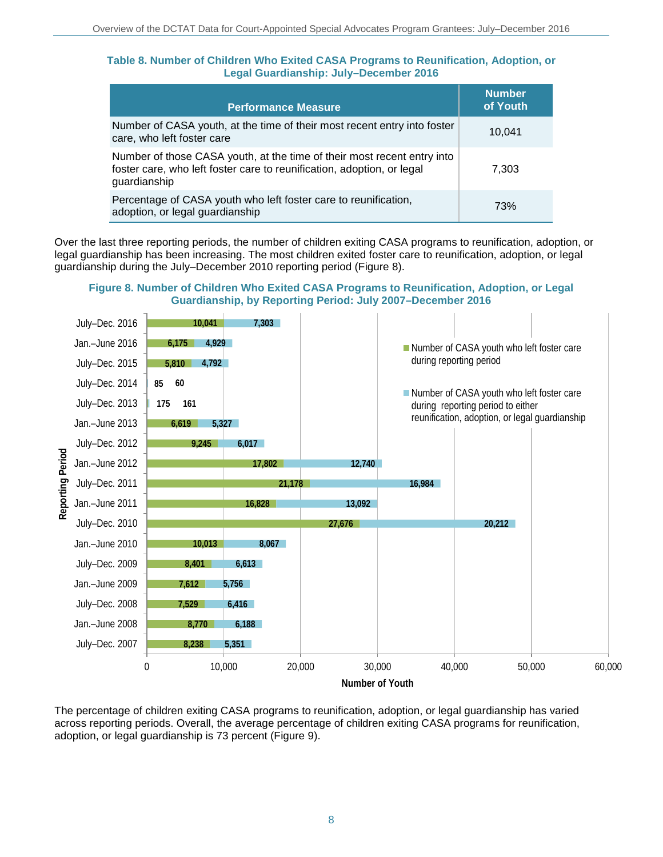#### **Table 8. Number of Children Who Exited CASA Programs to Reunification, Adoption, or Legal Guardianship: July–December 2016**

| <b>Performance Measure</b>                                                                                                                                        | <b>Number</b><br>of Youth |
|-------------------------------------------------------------------------------------------------------------------------------------------------------------------|---------------------------|
| Number of CASA youth, at the time of their most recent entry into foster<br>care, who left foster care                                                            | 10.041                    |
| Number of those CASA youth, at the time of their most recent entry into<br>foster care, who left foster care to reunification, adoption, or legal<br>guardianship | 7,303                     |
| Percentage of CASA youth who left foster care to reunification,<br>adoption, or legal guardianship                                                                | 73%                       |

Over the last three reporting periods, the number of children exiting CASA programs to reunification, adoption, or legal guardianship has been increasing. The most children exited foster care to reunification, adoption, or legal guardianship during the July–December 2010 reporting period (Figure 8).

### **Figure 8. Number of Children Who Exited CASA Programs to Reunification, Adoption, or Legal Guardianship, by Reporting Period: July 2007–December 2016**



The percentage of children exiting CASA programs to reunification, adoption, or legal guardianship has varied across reporting periods. Overall, the average percentage of children exiting CASA programs for reunification, adoption, or legal guardianship is 73 percent (Figure 9).